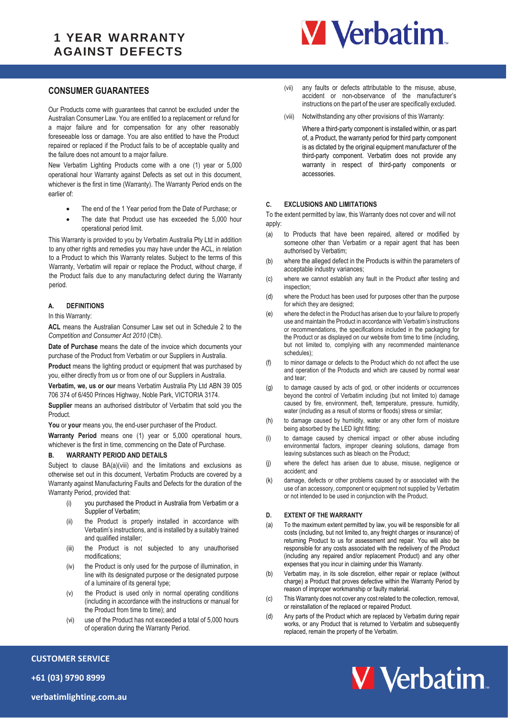## **1 YEAR WARRANTY AGAINST DEFECTS**



## **CONSUMER GUARANTEES**

Our Products come with guarantees that cannot be excluded under the Australian Consumer Law. You are entitled to a replacement or refund for a major failure and for compensation for any other reasonably foreseeable loss or damage. You are also entitled to have the Product repaired or replaced if the Product fails to be of acceptable quality and the failure does not amount to a major failure.

New Verbatim Lighting Products come with a one (1) year or 5,000 operational hour Warranty against Defects as set out in this document, whichever is the first in time (Warranty). The Warranty Period ends on the earlier of:

- The end of the 1 Year period from the Date of Purchase; or
- The date that Product use has exceeded the 5,000 hour operational period limit.

This Warranty is provided to you by Verbatim Australia Pty Ltd in addition to any other rights and remedies you may have under the ACL, in relation to a Product to which this Warranty relates. Subject to the terms of this Warranty, Verbatim will repair or replace the Product, without charge, if the Product fails due to any manufacturing defect during the Warranty period.

### **A. DEFINITIONS**

In this Warranty:

**ACL** means the Australian Consumer Law set out in Schedule 2 to the *Competition and Consumer Act 2010* (Cth).

**Date of Purchase** means the date of the invoice which documents your purchase of the Product from Verbatim or our Suppliers in Australia.

**Product** means the lighting product or equipment that was purchased by you, either directly from us or from one of our Suppliers in Australia.

**Verbatim, we, us or our** means Verbatim Australia Pty Ltd ABN 39 005 706 374 of 6/450 Princes Highway, Noble Park, VICTORIA 3174.

**Supplier** means an authorised distributor of Verbatim that sold you the Product.

You or your means you, the end-user purchaser of the Product.

**Warranty Period** means one (1) year or 5,000 operational hours, whichever is the first in time, commencing on the Date of Purchase.

#### <span id="page-0-0"></span>**B. WARRANTY PERIOD AND DETAILS**

Subject to clause [BA\(a\)\(viii\)](#page-0-0) and the limitations and exclusions as otherwise set out in this document, Verbatim Products are covered by a Warranty against Manufacturing Faults and Defects for the duration of the Warranty Period, provided that:

- (i) you purchased the Product in Australia from Verbatim or a Supplier of Verbatim;
- (ii) the Product is properly installed in accordance with Verbatim's instructions, and is installed by a suitably trained and qualified installer;
- (iii) the Product is not subjected to any unauthorised modifications;
- (iv) the Product is only used for the purpose of illumination, in line with its designated purpose or the designated purpose of a luminaire of its general type;
- (v) the Product is used only in normal operating conditions (including in accordance with the instructions or manual for the Product from time to time); and
- (vi) use of the Product has not exceeded a total of 5,000 hours of operation during the Warranty Period.
- (vii) any faults or defects attributable to the misuse, abuse, accident or non-observance of the manufacturer's instructions on the part of the user are specifically excluded.
- (viii) Notwithstanding any other provisions of this Warranty:

 Where a third-party component is installed within, or as part of, a Product, the warranty period for third party component is as dictated by the original equipment manufacturer of the third-party component. Verbatim does not provide any warranty in respect of third-party components or accessories.

## **C. EXCLUSIONS AND LIMITATIONS**

To the extent permitted by law, this Warranty does not cover and will not apply:

- (a) to Products that have been repaired, altered or modified by someone other than Verbatim or a repair agent that has been authorised by Verbatim;
- (b) where the alleged defect in the Products is within the parameters of acceptable industry variances;
- (c) where we cannot establish any fault in the Product after testing and inspection;
- (d) where the Product has been used for purposes other than the purpose for which they are designed;
- (e) where the defect in the Product has arisen due to your failure to properly use and maintain the Product in accordance with Verbatim's instructions or recommendations, the specifications included in the packaging for the Product or as displayed on our website from time to time (including, but not limited to, complying with any recommended maintenance schedules);
- (f) to minor damage or defects to the Product which do not affect the use and operation of the Products and which are caused by normal wear and tear;
- (g) to damage caused by acts of god, or other incidents or occurrences beyond the control of Verbatim including (but not limited to) damage caused by fire, environment, theft, temperature, pressure, humidity, water (including as a result of storms or floods) stress or similar;
- (h) to damage caused by humidity, water or any other form of moisture being absorbed by the LED light fitting;
- (i) to damage caused by chemical impact or other abuse including environmental factors, improper cleaning solutions, damage from leaving substances such as bleach on the Product;
- (j) where the defect has arisen due to abuse, misuse, negligence or accident; and
- (k) damage, defects or other problems caused by or associated with the use of an accessory, component or equipment not supplied by Verbatim or not intended to be used in conjunction with the Product.

### **D. EXTENT OF THE WARRANTY**

- (a) To the maximum extent permitted by law, you will be responsible for all costs (including, but not limited to, any freight charges or insurance) of returning Product to us for assessment and repair. You will also be responsible for any costs associated with the redelivery of the Product (including any repaired and/or replacement Product) and any other expenses that you incur in claiming under this Warranty.
- (b) Verbatim may, in its sole discretion, either repair or replace (without charge) a Product that proves defective within the Warranty Period by reason of improper workmanship or faulty material.
- (c) This Warranty does not cover any cost related to the collection, removal, or reinstallation of the replaced or repaired Product.
- (d) Any parts of the Product which are replaced by Verbatim during repair works, or any Product that is returned to Verbatim and subsequently replaced, remain the property of the Verbatim.



**+61 (03) 9790 8999**

**CUSTOMER SERVICE**